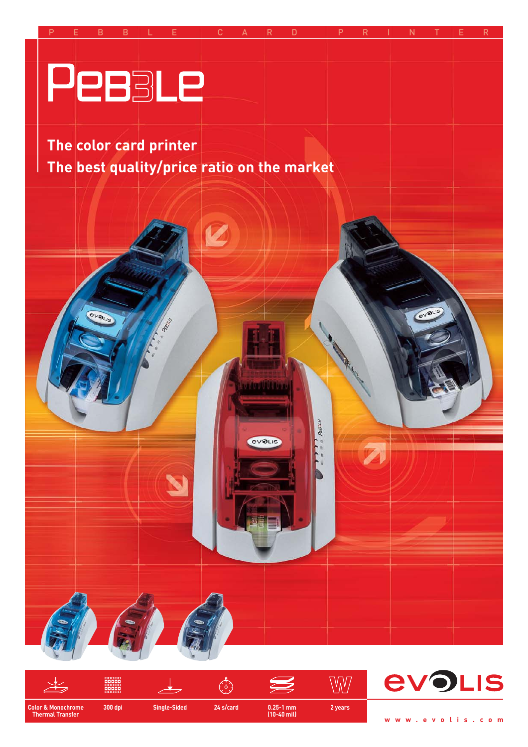



**www.evolis.com**